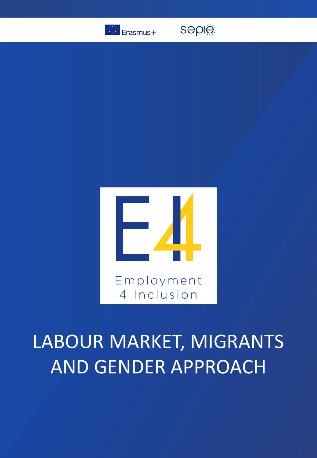

seple



# LABOUR MARKET, MIGRANTS AND GENDER APPROACH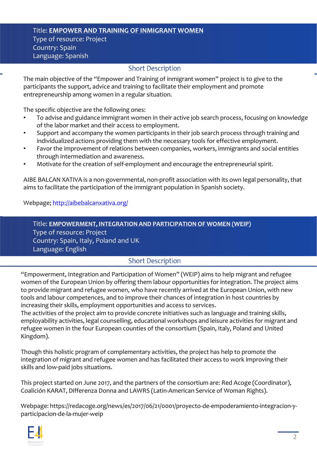## Title: **EMPOWER AND TRAINING OF INMIGRANT WOMEN** Type of resource: Project Country: Spain Language: Spanish

## **Short Description**

The main objective of the "Empower and Training of inmigrant women" project is to give to the participants the support, advice and training to facilitate their employment and promote entrepreneurship among women in a regular situation.

The specific objective are the following ones:

- To advise and guidance immigrant women in their active job search process, focusing on knowledge of the labor market and their access to employment.
- Support and accompany the women participants in their job search process through training and individualized actions providing them with the necessary tools for effective employment.
- Favor the improvement of relations between companies, workers, immigrants and social entities through intermediation and awareness.
- Motivate for the creation of self-employment and encourage the entrepreneurial spirit.

AIBE BALCAN XATIVA is a non-governmental, non-profit association with its own legal personality, that aims to facilitate the participation of the immigrant population in Spanish society.

Webpage; <http://aibebalcanxativa.org/>

Title: **EMPOWERMENT, INTEGRATION AND PARTICIPATION OF WOMEN (WEIP)** Type of resource: Project Country: Spain, Italy, Poland and UK Language: English

# **Short Description**

"Empowerment, Integration and Participation of Women" (WEIP) aims to help migrant and refugee women of the European Union by offering them labour opportunities for integration. The project aims to provide migrant and refugee women, who have recently arrived at the European Union, with new tools and labour competences, and to improve their chances of integration in host countries by increasing their skills, employment opportunities and access to services.

The activities of the project aim to provide concrete initiatives such as language and training skills, employability activities, legal counselling, educational workshops and leisure activities for migrant and refugee women in the four European counties of the consortium (Spain, Italy, Poland and United Kingdom).

Though this holistic program of complementary activities, the project has help to promote the integration of migrant and refugee women and has facilitated their access to work improving their skills and low-paid jobs situations.

This project started on June 2017, and the partners of the consortium are: Red Acoge (Coordinator), Coalición KARAT, Differenza Donna and LAWRS (Latin-American Service of Woman Rights).

Webpage: https://redacoge.org/news/es/2017/06/21/0001/proyecto-de-empoderamiento-integracion-yparticipacion-de-la-mujer-weip